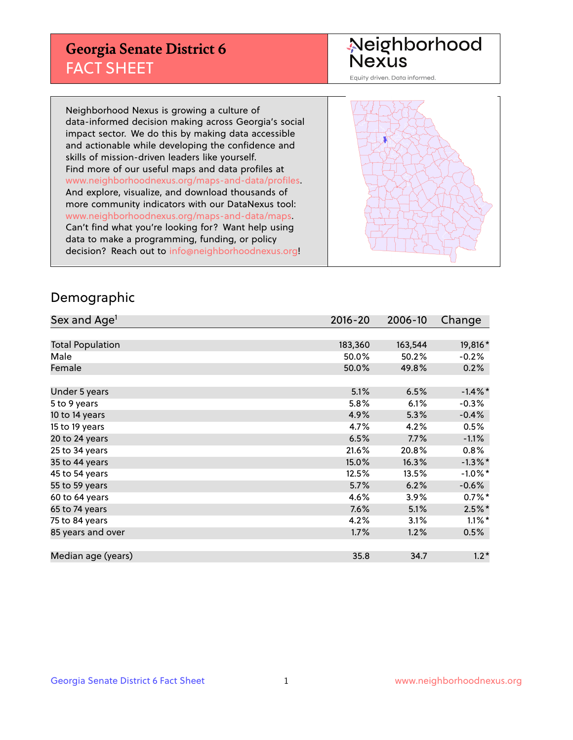## **Georgia Senate District 6** FACT SHEET

# Neighborhood<br>Nexus

Equity driven. Data informed.

Neighborhood Nexus is growing a culture of data-informed decision making across Georgia's social impact sector. We do this by making data accessible and actionable while developing the confidence and skills of mission-driven leaders like yourself. Find more of our useful maps and data profiles at www.neighborhoodnexus.org/maps-and-data/profiles. And explore, visualize, and download thousands of more community indicators with our DataNexus tool: www.neighborhoodnexus.org/maps-and-data/maps. Can't find what you're looking for? Want help using data to make a programming, funding, or policy decision? Reach out to [info@neighborhoodnexus.org!](mailto:info@neighborhoodnexus.org)



### Demographic

| Sex and Age <sup>1</sup> | $2016 - 20$ | 2006-10 | Change     |
|--------------------------|-------------|---------|------------|
|                          |             |         |            |
| <b>Total Population</b>  | 183,360     | 163,544 | 19,816*    |
| Male                     | 50.0%       | 50.2%   | $-0.2%$    |
| Female                   | 50.0%       | 49.8%   | 0.2%       |
|                          |             |         |            |
| Under 5 years            | 5.1%        | 6.5%    | $-1.4\%$ * |
| 5 to 9 years             | 5.8%        | 6.1%    | $-0.3%$    |
| 10 to 14 years           | 4.9%        | 5.3%    | $-0.4%$    |
| 15 to 19 years           | 4.7%        | 4.2%    | 0.5%       |
| 20 to 24 years           | 6.5%        | 7.7%    | $-1.1%$    |
| 25 to 34 years           | 21.6%       | 20.8%   | 0.8%       |
| 35 to 44 years           | 15.0%       | 16.3%   | $-1.3\%$ * |
| 45 to 54 years           | 12.5%       | 13.5%   | $-1.0\%$ * |
| 55 to 59 years           | 5.7%        | 6.2%    | $-0.6%$    |
| 60 to 64 years           | 4.6%        | 3.9%    | $0.7\%$ *  |
| 65 to 74 years           | 7.6%        | 5.1%    | $2.5%$ *   |
| 75 to 84 years           | 4.2%        | 3.1%    | $1.1\%$ *  |
| 85 years and over        | 1.7%        | 1.2%    | 0.5%       |
|                          |             |         |            |
| Median age (years)       | 35.8        | 34.7    | $1.2*$     |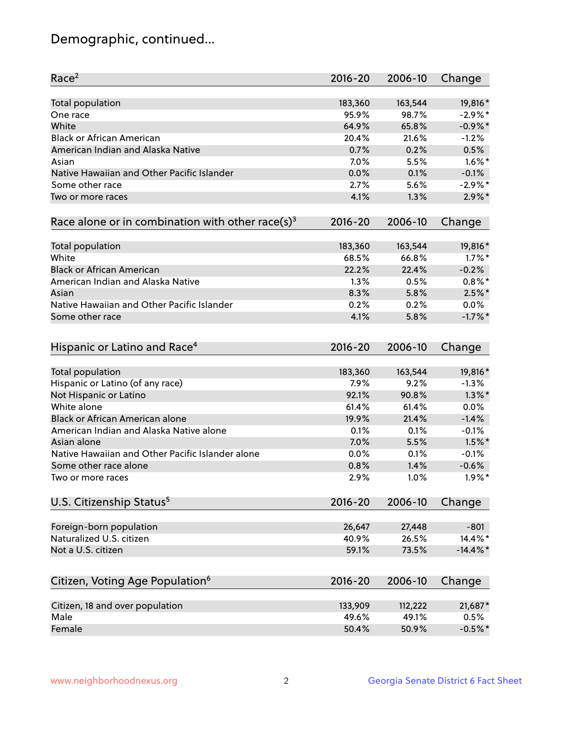## Demographic, continued...

| Race <sup>2</sup>                                            | $2016 - 20$ | 2006-10 | Change      |
|--------------------------------------------------------------|-------------|---------|-------------|
| <b>Total population</b>                                      | 183,360     | 163,544 | 19,816*     |
| One race                                                     | 95.9%       | 98.7%   | $-2.9%$ *   |
| White                                                        | 64.9%       | 65.8%   | $-0.9\%$ *  |
| <b>Black or African American</b>                             | 20.4%       | 21.6%   | $-1.2%$     |
| American Indian and Alaska Native                            | 0.7%        | 0.2%    | 0.5%        |
| Asian                                                        | 7.0%        | 5.5%    | $1.6\%$ *   |
| Native Hawaiian and Other Pacific Islander                   | 0.0%        | 0.1%    | $-0.1%$     |
| Some other race                                              | 2.7%        | 5.6%    | $-2.9\%$ *  |
| Two or more races                                            | 4.1%        | 1.3%    | $2.9\%$ *   |
| Race alone or in combination with other race(s) <sup>3</sup> | $2016 - 20$ | 2006-10 | Change      |
| Total population                                             | 183,360     | 163,544 | 19,816*     |
| White                                                        | 68.5%       | 66.8%   | $1.7\%$ *   |
| <b>Black or African American</b>                             | 22.2%       | 22.4%   | $-0.2%$     |
| American Indian and Alaska Native                            | 1.3%        | 0.5%    | $0.8\%$ *   |
| Asian                                                        | 8.3%        | 5.8%    | $2.5\%$ *   |
| Native Hawaiian and Other Pacific Islander                   | 0.2%        | 0.2%    | $0.0\%$     |
| Some other race                                              | 4.1%        | 5.8%    | $-1.7%$ *   |
| Hispanic or Latino and Race <sup>4</sup>                     | $2016 - 20$ | 2006-10 | Change      |
| <b>Total population</b>                                      | 183,360     | 163,544 | 19,816*     |
| Hispanic or Latino (of any race)                             | 7.9%        | 9.2%    | $-1.3%$     |
| Not Hispanic or Latino                                       | 92.1%       | 90.8%   | $1.3\%$ *   |
| White alone                                                  | 61.4%       | 61.4%   | 0.0%        |
| <b>Black or African American alone</b>                       | 19.9%       | 21.4%   | $-1.4%$     |
| American Indian and Alaska Native alone                      | 0.1%        | 0.1%    | $-0.1%$     |
| Asian alone                                                  | 7.0%        | 5.5%    | $1.5%$ *    |
| Native Hawaiian and Other Pacific Islander alone             | 0.0%        | 0.1%    | $-0.1%$     |
| Some other race alone                                        | 0.8%        | 1.4%    | $-0.6%$     |
| Two or more races                                            | 2.9%        | 1.0%    | $1.9\%$ *   |
| U.S. Citizenship Status <sup>5</sup>                         | $2016 - 20$ | 2006-10 | Change      |
| Foreign-born population                                      | 26,647      | 27,448  | $-801$      |
| Naturalized U.S. citizen                                     | 40.9%       | 26.5%   | 14.4%*      |
| Not a U.S. citizen                                           | 59.1%       | 73.5%   | $-14.4\%$ * |
|                                                              |             |         |             |
| Citizen, Voting Age Population <sup>6</sup>                  | $2016 - 20$ | 2006-10 | Change      |
| Citizen, 18 and over population                              | 133,909     | 112,222 | 21,687*     |
| Male                                                         | 49.6%       | 49.1%   | 0.5%        |
| Female                                                       | 50.4%       | 50.9%   | $-0.5%$ *   |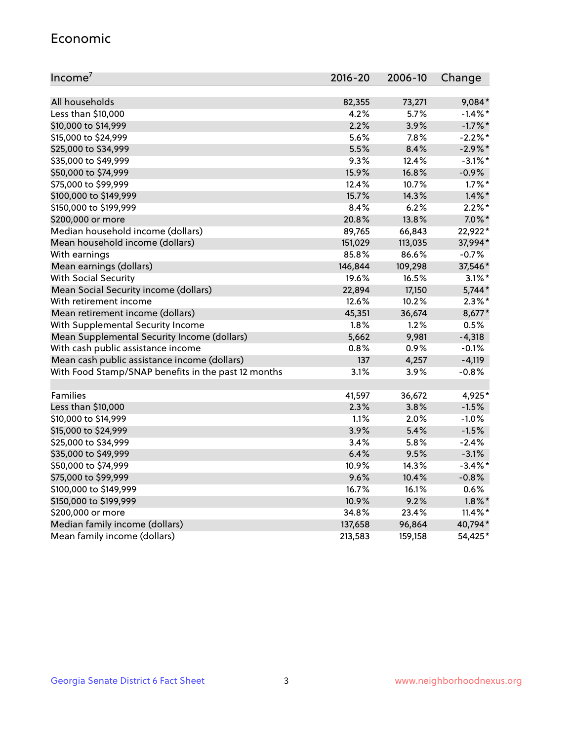#### Economic

| Income <sup>7</sup>                                 | $2016 - 20$ | 2006-10 | Change     |
|-----------------------------------------------------|-------------|---------|------------|
|                                                     |             |         |            |
| All households                                      | 82,355      | 73,271  | 9,084*     |
| Less than \$10,000                                  | 4.2%        | 5.7%    | $-1.4\%$ * |
| \$10,000 to \$14,999                                | 2.2%        | 3.9%    | $-1.7\%$ * |
| \$15,000 to \$24,999                                | 5.6%        | 7.8%    | $-2.2%$ *  |
| \$25,000 to \$34,999                                | 5.5%        | 8.4%    | $-2.9\%$ * |
| \$35,000 to \$49,999                                | 9.3%        | 12.4%   | $-3.1\%$ * |
| \$50,000 to \$74,999                                | 15.9%       | 16.8%   | $-0.9%$    |
| \$75,000 to \$99,999                                | 12.4%       | 10.7%   | $1.7\%$ *  |
| \$100,000 to \$149,999                              | 15.7%       | 14.3%   | $1.4\%$ *  |
| \$150,000 to \$199,999                              | 8.4%        | 6.2%    | $2.2\%$ *  |
| \$200,000 or more                                   | 20.8%       | 13.8%   | $7.0\%$ *  |
| Median household income (dollars)                   | 89,765      | 66,843  | 22,922*    |
| Mean household income (dollars)                     | 151,029     | 113,035 | 37,994*    |
| With earnings                                       | 85.8%       | 86.6%   | $-0.7%$    |
| Mean earnings (dollars)                             | 146,844     | 109,298 | 37,546*    |
| <b>With Social Security</b>                         | 19.6%       | 16.5%   | $3.1\%$ *  |
| Mean Social Security income (dollars)               | 22,894      | 17,150  | $5,744*$   |
| With retirement income                              | 12.6%       | 10.2%   | $2.3\%$ *  |
| Mean retirement income (dollars)                    | 45,351      | 36,674  | 8,677*     |
| With Supplemental Security Income                   | 1.8%        | 1.2%    | 0.5%       |
| Mean Supplemental Security Income (dollars)         | 5,662       | 9,981   | $-4,318$   |
| With cash public assistance income                  | 0.8%        | 0.9%    | $-0.1%$    |
| Mean cash public assistance income (dollars)        | 137         | 4,257   | $-4,119$   |
| With Food Stamp/SNAP benefits in the past 12 months | 3.1%        | 3.9%    | $-0.8%$    |
|                                                     |             |         |            |
| Families                                            | 41,597      | 36,672  | 4,925*     |
| Less than \$10,000                                  | 2.3%        | 3.8%    | $-1.5%$    |
| \$10,000 to \$14,999                                | 1.1%        | 2.0%    | $-1.0%$    |
| \$15,000 to \$24,999                                | 3.9%        | 5.4%    | $-1.5%$    |
| \$25,000 to \$34,999                                | 3.4%        | 5.8%    | $-2.4%$    |
| \$35,000 to \$49,999                                | 6.4%        | 9.5%    | $-3.1%$    |
| \$50,000 to \$74,999                                | 10.9%       | 14.3%   | $-3.4\%$ * |
| \$75,000 to \$99,999                                | 9.6%        | 10.4%   | $-0.8%$    |
| \$100,000 to \$149,999                              | 16.7%       | 16.1%   | 0.6%       |
| \$150,000 to \$199,999                              | 10.9%       | 9.2%    | $1.8\%$ *  |
| \$200,000 or more                                   | 34.8%       | 23.4%   | $11.4\%$ * |
| Median family income (dollars)                      | 137,658     | 96,864  | 40,794*    |
| Mean family income (dollars)                        | 213,583     | 159,158 | 54,425*    |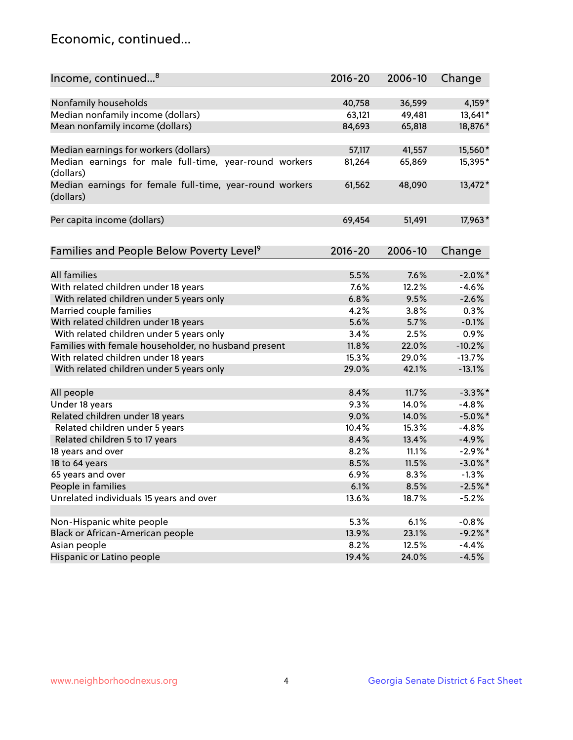## Economic, continued...

| Income, continued <sup>8</sup>                                        | $2016 - 20$ | 2006-10 | Change     |
|-----------------------------------------------------------------------|-------------|---------|------------|
|                                                                       |             |         |            |
| Nonfamily households                                                  | 40,758      | 36,599  | 4,159*     |
| Median nonfamily income (dollars)                                     | 63,121      | 49,481  | 13,641*    |
| Mean nonfamily income (dollars)                                       | 84,693      | 65,818  | 18,876*    |
| Median earnings for workers (dollars)                                 | 57,117      | 41,557  | 15,560*    |
| Median earnings for male full-time, year-round workers<br>(dollars)   | 81,264      | 65,869  | 15,395*    |
| Median earnings for female full-time, year-round workers<br>(dollars) | 61,562      | 48,090  | 13,472*    |
| Per capita income (dollars)                                           | 69,454      | 51,491  | 17,963*    |
| Families and People Below Poverty Level <sup>9</sup>                  | $2016 - 20$ | 2006-10 | Change     |
|                                                                       |             |         |            |
| <b>All families</b>                                                   | 5.5%        | 7.6%    | $-2.0\%$ * |
| With related children under 18 years                                  | 7.6%        | 12.2%   | $-4.6%$    |
| With related children under 5 years only                              | 6.8%        | 9.5%    | $-2.6%$    |
| Married couple families                                               | 4.2%        | 3.8%    | 0.3%       |
| With related children under 18 years                                  | 5.6%        | 5.7%    | $-0.1%$    |
| With related children under 5 years only                              | 3.4%        | 2.5%    | 0.9%       |
| Families with female householder, no husband present                  | 11.8%       | 22.0%   | $-10.2%$   |
| With related children under 18 years                                  | 15.3%       | 29.0%   | $-13.7%$   |
| With related children under 5 years only                              | 29.0%       | 42.1%   | $-13.1%$   |
| All people                                                            | 8.4%        | 11.7%   | $-3.3\%$ * |
| Under 18 years                                                        | 9.3%        | 14.0%   | $-4.8%$    |
| Related children under 18 years                                       | 9.0%        | 14.0%   | $-5.0\%$ * |
| Related children under 5 years                                        | 10.4%       | 15.3%   | $-4.8%$    |
| Related children 5 to 17 years                                        | 8.4%        | 13.4%   | $-4.9%$    |
| 18 years and over                                                     | 8.2%        | 11.1%   | $-2.9\%$ * |
| 18 to 64 years                                                        | 8.5%        | 11.5%   | $-3.0\%$ * |
| 65 years and over                                                     | 6.9%        | 8.3%    | $-1.3%$    |
| People in families                                                    | 6.1%        | 8.5%    | $-2.5%$ *  |
| Unrelated individuals 15 years and over                               | 13.6%       | 18.7%   | $-5.2%$    |
|                                                                       |             |         |            |
| Non-Hispanic white people                                             | 5.3%        | 6.1%    | $-0.8%$    |
| Black or African-American people                                      | 13.9%       | 23.1%   | $-9.2%$ *  |
| Asian people                                                          | 8.2%        | 12.5%   | $-4.4%$    |
| Hispanic or Latino people                                             | 19.4%       | 24.0%   | $-4.5%$    |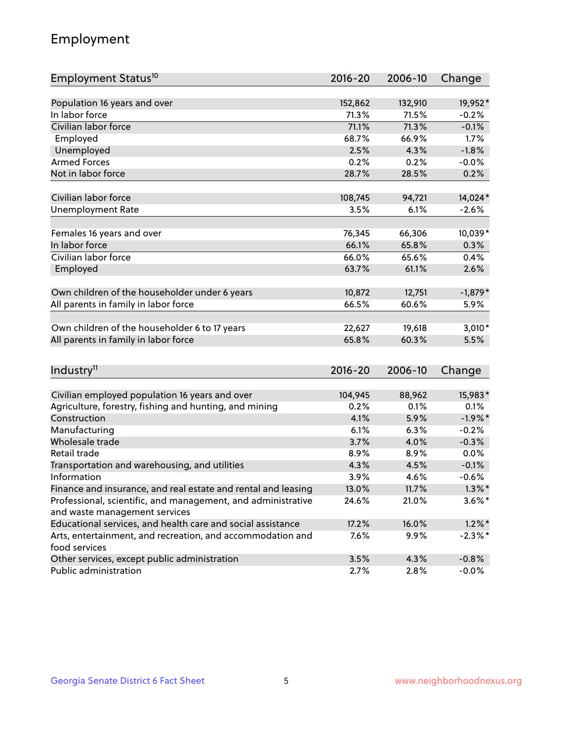## Employment

| Employment Status <sup>10</sup>                               | $2016 - 20$ | 2006-10 | Change     |
|---------------------------------------------------------------|-------------|---------|------------|
|                                                               |             |         |            |
| Population 16 years and over                                  | 152,862     | 132,910 | 19,952*    |
| In labor force                                                | 71.3%       | 71.5%   | $-0.2%$    |
| Civilian labor force                                          | 71.1%       | 71.3%   | $-0.1%$    |
| Employed                                                      | 68.7%       | 66.9%   | 1.7%       |
| Unemployed                                                    | 2.5%        | 4.3%    | $-1.8%$    |
| <b>Armed Forces</b>                                           | 0.2%        | 0.2%    | $-0.0%$    |
| Not in labor force                                            | 28.7%       | 28.5%   | 0.2%       |
|                                                               |             |         |            |
| Civilian labor force                                          | 108,745     | 94,721  | 14,024*    |
| <b>Unemployment Rate</b>                                      | 3.5%        | 6.1%    | $-2.6%$    |
| Females 16 years and over                                     | 76,345      | 66,306  | 10,039*    |
| In labor force                                                | 66.1%       | 65.8%   | 0.3%       |
| Civilian labor force                                          | 66.0%       | 65.6%   | 0.4%       |
| Employed                                                      | 63.7%       | 61.1%   | 2.6%       |
|                                                               |             |         |            |
| Own children of the householder under 6 years                 | 10,872      | 12,751  | $-1,879*$  |
| All parents in family in labor force                          | 66.5%       | 60.6%   | 5.9%       |
|                                                               |             |         |            |
| Own children of the householder 6 to 17 years                 | 22,627      | 19,618  | $3,010*$   |
| All parents in family in labor force                          | 65.8%       | 60.3%   | 5.5%       |
|                                                               |             |         |            |
| Industry <sup>11</sup>                                        | $2016 - 20$ | 2006-10 | Change     |
| Civilian employed population 16 years and over                | 104,945     | 88,962  | 15,983*    |
| Agriculture, forestry, fishing and hunting, and mining        | 0.2%        | 0.1%    | 0.1%       |
| Construction                                                  | 4.1%        | 5.9%    | $-1.9%$ *  |
| Manufacturing                                                 | 6.1%        | 6.3%    | $-0.2%$    |
| Wholesale trade                                               | 3.7%        | 4.0%    | $-0.3%$    |
| Retail trade                                                  | 8.9%        | 8.9%    | 0.0%       |
| Transportation and warehousing, and utilities                 | 4.3%        | 4.5%    | $-0.1%$    |
| Information                                                   | 3.9%        | 4.6%    | $-0.6%$    |
| Finance and insurance, and real estate and rental and leasing | 13.0%       | 11.7%   | $1.3\%$ *  |
| Professional, scientific, and management, and administrative  | 24.6%       | 21.0%   | $3.6\%$ *  |
| and waste management services                                 |             |         |            |
| Educational services, and health care and social assistance   | 17.2%       | 16.0%   | $1.2\%$ *  |
| Arts, entertainment, and recreation, and accommodation and    | 7.6%        | 9.9%    | $-2.3\%$ * |
| food services                                                 |             |         |            |
| Other services, except public administration                  | 3.5%        | 4.3%    | $-0.8%$    |
| Public administration                                         | 2.7%        | 2.8%    | $-0.0%$    |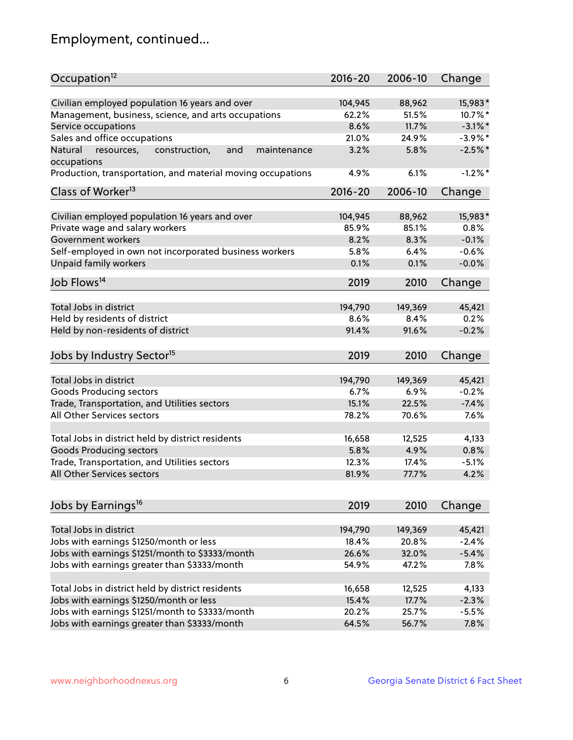## Employment, continued...

| Occupation <sup>12</sup>                                                   | $2016 - 20$ | 2006-10 | Change     |
|----------------------------------------------------------------------------|-------------|---------|------------|
| Civilian employed population 16 years and over                             | 104,945     | 88,962  | 15,983*    |
| Management, business, science, and arts occupations                        | 62.2%       | 51.5%   | 10.7%*     |
| Service occupations                                                        | 8.6%        | 11.7%   | $-3.1\%$ * |
| Sales and office occupations                                               | 21.0%       | 24.9%   | $-3.9\%$ * |
| Natural<br>and<br>resources,<br>construction,<br>maintenance               | 3.2%        | 5.8%    | $-2.5%$    |
| occupations                                                                |             |         |            |
| Production, transportation, and material moving occupations                | 4.9%        | 6.1%    | $-1.2%$ *  |
| Class of Worker <sup>13</sup>                                              | $2016 - 20$ | 2006-10 | Change     |
|                                                                            |             |         |            |
| Civilian employed population 16 years and over                             | 104,945     | 88,962  | 15,983*    |
| Private wage and salary workers                                            | 85.9%       | 85.1%   | 0.8%       |
| Government workers                                                         | 8.2%        | 8.3%    | $-0.1%$    |
| Self-employed in own not incorporated business workers                     | 5.8%        | 6.4%    | $-0.6%$    |
| Unpaid family workers                                                      | 0.1%        | 0.1%    | $-0.0%$    |
| Job Flows <sup>14</sup>                                                    | 2019        | 2010    | Change     |
|                                                                            |             |         |            |
| Total Jobs in district                                                     | 194,790     | 149,369 | 45,421     |
| Held by residents of district                                              | 8.6%        | 8.4%    | 0.2%       |
| Held by non-residents of district                                          | 91.4%       | 91.6%   | $-0.2%$    |
| Jobs by Industry Sector <sup>15</sup>                                      | 2019        | 2010    | Change     |
|                                                                            |             |         |            |
| Total Jobs in district                                                     | 194,790     | 149,369 | 45,421     |
| <b>Goods Producing sectors</b>                                             | 6.7%        | 6.9%    | $-0.2%$    |
| Trade, Transportation, and Utilities sectors                               | 15.1%       | 22.5%   | $-7.4%$    |
| All Other Services sectors                                                 | 78.2%       | 70.6%   | 7.6%       |
| Total Jobs in district held by district residents                          | 16,658      | 12,525  | 4,133      |
|                                                                            |             |         |            |
| <b>Goods Producing sectors</b>                                             | 5.8%        | 4.9%    | 0.8%       |
| Trade, Transportation, and Utilities sectors<br>All Other Services sectors | 12.3%       | 17.4%   | $-5.1%$    |
|                                                                            | 81.9%       | 77.7%   | 4.2%       |
| Jobs by Earnings <sup>16</sup>                                             | 2019        | 2010    | Change     |
|                                                                            |             |         |            |
| Total Jobs in district                                                     | 194,790     | 149,369 | 45,421     |
| Jobs with earnings \$1250/month or less                                    | 18.4%       | 20.8%   | $-2.4%$    |
| Jobs with earnings \$1251/month to \$3333/month                            | 26.6%       | 32.0%   | $-5.4%$    |
| Jobs with earnings greater than \$3333/month                               | 54.9%       | 47.2%   | 7.8%       |
| Total Jobs in district held by district residents                          | 16,658      | 12,525  | 4,133      |
| Jobs with earnings \$1250/month or less                                    | 15.4%       | 17.7%   | $-2.3%$    |
| Jobs with earnings \$1251/month to \$3333/month                            | 20.2%       | 25.7%   | $-5.5%$    |
| Jobs with earnings greater than \$3333/month                               | 64.5%       | 56.7%   | 7.8%       |
|                                                                            |             |         |            |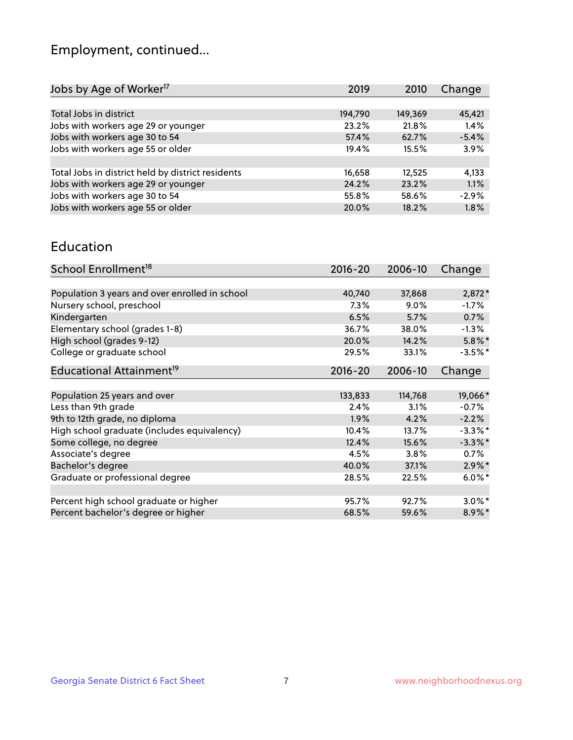## Employment, continued...

| 45,421  |
|---------|
| 1.4%    |
| $-5.4%$ |
| 3.9%    |
|         |
| 4,133   |
| 1.1%    |
| $-2.9%$ |
| 1.8%    |
|         |

#### Education

| School Enrollment <sup>18</sup>                | $2016 - 20$ | 2006-10 | Change               |
|------------------------------------------------|-------------|---------|----------------------|
|                                                |             |         |                      |
| Population 3 years and over enrolled in school | 40,740      | 37,868  | $2,872*$             |
| Nursery school, preschool                      | 7.3%        | $9.0\%$ | $-1.7\%$             |
| Kindergarten                                   | 6.5%        | 5.7%    | 0.7%                 |
| Elementary school (grades 1-8)                 | 36.7%       | 38.0%   | $-1.3%$              |
| High school (grades 9-12)                      | 20.0%       | 14.2%   | $5.8\%$ *            |
| College or graduate school                     | 29.5%       | 33.1%   | $-3.5%$ *            |
| Educational Attainment <sup>19</sup>           | $2016 - 20$ | 2006-10 | Change               |
|                                                |             |         |                      |
| Population 25 years and over                   | 133,833     | 114,768 | 19,066*              |
| Less than 9th grade                            | 2.4%        | 3.1%    | $-0.7%$              |
| 9th to 12th grade, no diploma                  | 1.9%        | 4.2%    | $-2.2%$              |
| High school graduate (includes equivalency)    | 10.4%       | 13.7%   | $-3.3\%$ *           |
| Some college, no degree                        | 12.4%       | 15.6%   | $-3.3\%$ *           |
| Associate's degree                             | 4.5%        | 3.8%    | 0.7%                 |
| Bachelor's degree                              | 40.0%       | 37.1%   | $2.9\%$ *            |
| Graduate or professional degree                | 28.5%       | 22.5%   | $6.0\%$ <sup>*</sup> |
|                                                |             |         |                      |
| Percent high school graduate or higher         | 95.7%       | 92.7%   | $3.0\%$ *            |
| Percent bachelor's degree or higher            | 68.5%       | 59.6%   | 8.9%*                |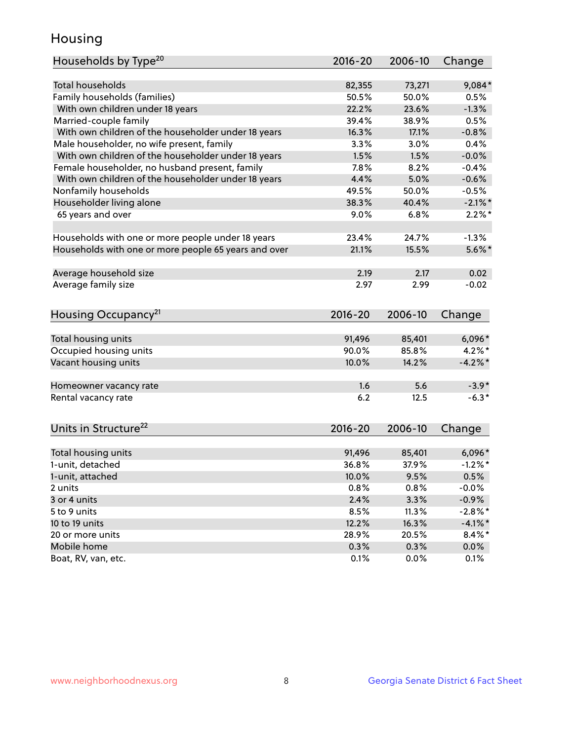## Housing

| Households by Type <sup>20</sup>                     | 2016-20         | 2006-10         | Change                |
|------------------------------------------------------|-----------------|-----------------|-----------------------|
|                                                      |                 |                 |                       |
| <b>Total households</b>                              | 82,355          | 73,271          | 9,084*                |
| Family households (families)                         | 50.5%           | 50.0%           | 0.5%                  |
| With own children under 18 years                     | 22.2%           | 23.6%           | $-1.3%$               |
| Married-couple family                                | 39.4%           | 38.9%           | 0.5%                  |
| With own children of the householder under 18 years  | 16.3%           | 17.1%           | $-0.8%$               |
| Male householder, no wife present, family            | 3.3%            | 3.0%            | 0.4%                  |
| With own children of the householder under 18 years  | 1.5%            | 1.5%            | $-0.0%$               |
| Female householder, no husband present, family       | 7.8%            | 8.2%            | $-0.4%$               |
| With own children of the householder under 18 years  | 4.4%            | 5.0%            | $-0.6%$               |
| Nonfamily households                                 | 49.5%           | 50.0%           | $-0.5%$               |
| Householder living alone                             | 38.3%           | 40.4%           | $-2.1\%$ *            |
| 65 years and over                                    | 9.0%            | 6.8%            | $2.2\%$ *             |
|                                                      |                 |                 |                       |
| Households with one or more people under 18 years    | 23.4%           | 24.7%           | $-1.3%$               |
| Households with one or more people 65 years and over | 21.1%           | 15.5%           | $5.6\%$ *             |
| Average household size                               | 2.19            | 2.17            | 0.02                  |
| Average family size                                  | 2.97            | 2.99            | $-0.02$               |
|                                                      |                 |                 |                       |
| Housing Occupancy <sup>21</sup>                      | 2016-20         | 2006-10         | Change                |
| Total housing units                                  | 91,496          | 85,401          | $6,096*$              |
| Occupied housing units                               | 90.0%           | 85.8%           | $4.2\%$ *             |
| Vacant housing units                                 | 10.0%           | 14.2%           | $-4.2%$ *             |
|                                                      |                 |                 |                       |
| Homeowner vacancy rate                               | 1.6             | 5.6             | $-3.9*$               |
| Rental vacancy rate                                  | 6.2             | 12.5            | $-6.3*$               |
|                                                      |                 |                 |                       |
| Units in Structure <sup>22</sup>                     | $2016 - 20$     | 2006-10         | Change                |
|                                                      |                 |                 |                       |
| Total housing units<br>1-unit, detached              | 91,496<br>36.8% | 85,401<br>37.9% | $6,096*$<br>$-1.2%$ * |
|                                                      |                 |                 |                       |
| 1-unit, attached                                     | 10.0%<br>0.8%   | 9.5%            | 0.5%                  |
| 2 units                                              |                 | 0.8%            | $-0.0%$               |
| 3 or 4 units                                         | 2.4%            | 3.3%            | $-0.9%$               |
| 5 to 9 units                                         | 8.5%            | 11.3%           | $-2.8\%$ *            |
| 10 to 19 units                                       | 12.2%           | 16.3%           | $-4.1%$ *             |
| 20 or more units                                     | 28.9%           | 20.5%           | $8.4\%$ *             |
| Mobile home                                          | 0.3%            | 0.3%            | $0.0\%$               |
| Boat, RV, van, etc.                                  | 0.1%            | 0.0%            | 0.1%                  |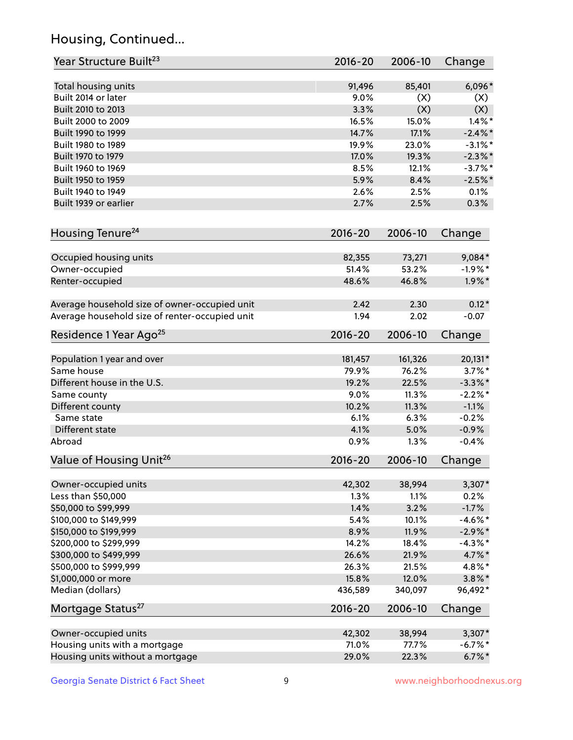## Housing, Continued...

| Year Structure Built <sup>23</sup>             | 2016-20     | 2006-10 | Change     |
|------------------------------------------------|-------------|---------|------------|
| Total housing units                            | 91,496      | 85,401  | 6,096*     |
| Built 2014 or later                            | 9.0%        | (X)     | (X)        |
| Built 2010 to 2013                             | 3.3%        | (X)     | (X)        |
| Built 2000 to 2009                             | 16.5%       | 15.0%   | $1.4\%$ *  |
| Built 1990 to 1999                             | 14.7%       | 17.1%   | $-2.4\%$ * |
| Built 1980 to 1989                             | 19.9%       | 23.0%   | $-3.1\%$ * |
| Built 1970 to 1979                             | 17.0%       | 19.3%   | $-2.3\%$ * |
| Built 1960 to 1969                             | 8.5%        | 12.1%   | $-3.7\%$ * |
| Built 1950 to 1959                             | 5.9%        | 8.4%    | $-2.5%$ *  |
| Built 1940 to 1949                             | 2.6%        | 2.5%    | 0.1%       |
| Built 1939 or earlier                          | 2.7%        | 2.5%    | 0.3%       |
| Housing Tenure <sup>24</sup>                   | $2016 - 20$ | 2006-10 | Change     |
|                                                |             |         |            |
| Occupied housing units                         | 82,355      | 73,271  | $9,084*$   |
| Owner-occupied                                 | 51.4%       | 53.2%   | $-1.9%$ *  |
| Renter-occupied                                | 48.6%       | 46.8%   | $1.9\%$ *  |
| Average household size of owner-occupied unit  | 2.42        | 2.30    | $0.12*$    |
| Average household size of renter-occupied unit | 1.94        | 2.02    | $-0.07$    |
| Residence 1 Year Ago <sup>25</sup>             | $2016 - 20$ | 2006-10 | Change     |
| Population 1 year and over                     | 181,457     | 161,326 | 20,131*    |
| Same house                                     | 79.9%       | 76.2%   | $3.7\%$ *  |
| Different house in the U.S.                    | 19.2%       | 22.5%   | $-3.3\%$ * |
| Same county                                    | 9.0%        | 11.3%   | $-2.2%$ *  |
| Different county                               | 10.2%       | 11.3%   | $-1.1%$    |
| Same state                                     | 6.1%        | 6.3%    | $-0.2%$    |
| Different state                                | 4.1%        | 5.0%    | $-0.9%$    |
| Abroad                                         | 0.9%        | 1.3%    | $-0.4%$    |
| Value of Housing Unit <sup>26</sup>            | $2016 - 20$ | 2006-10 | Change     |
|                                                |             |         |            |
| Owner-occupied units                           | 42,302      | 38,994  | $3,307*$   |
| Less than \$50,000                             | 1.3%        | 1.1%    | 0.2%       |
| \$50,000 to \$99,999                           | 1.4%        | 3.2%    | $-1.7%$    |
| \$100,000 to \$149,999                         | 5.4%        | 10.1%   | $-4.6\%$ * |
| \$150,000 to \$199,999                         | 8.9%        | 11.9%   | $-2.9\%$ * |
| \$200,000 to \$299,999                         | 14.2%       | 18.4%   | $-4.3\%$ * |
| \$300,000 to \$499,999                         | 26.6%       | 21.9%   | 4.7%*      |
| \$500,000 to \$999,999                         | 26.3%       | 21.5%   | 4.8%*      |
| \$1,000,000 or more                            | 15.8%       | 12.0%   | $3.8\%$ *  |
| Median (dollars)                               | 436,589     | 340,097 | 96,492*    |
| Mortgage Status <sup>27</sup>                  | $2016 - 20$ | 2006-10 | Change     |
| Owner-occupied units                           | 42,302      | 38,994  | $3,307*$   |
| Housing units with a mortgage                  | 71.0%       | 77.7%   | $-6.7\%$ * |
| Housing units without a mortgage               | 29.0%       | 22.3%   | $6.7\%$ *  |
|                                                |             |         |            |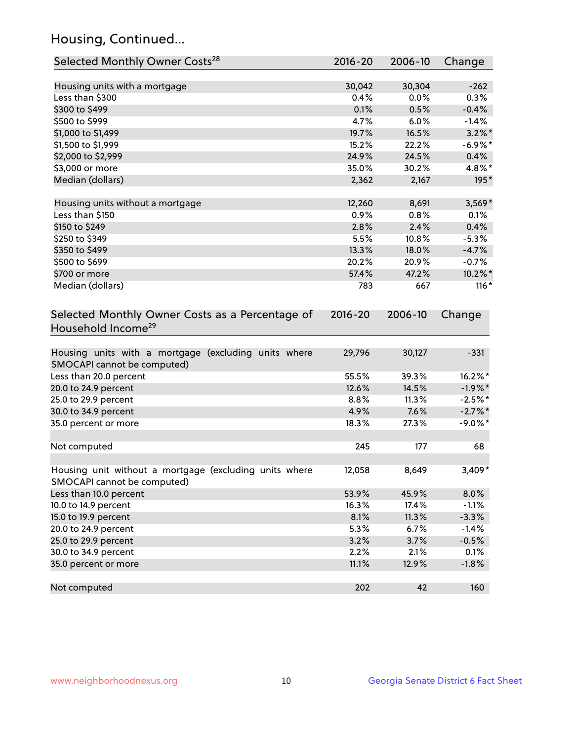## Housing, Continued...

| Selected Monthly Owner Costs <sup>28</sup>                                            | $2016 - 20$ | 2006-10 | Change     |
|---------------------------------------------------------------------------------------|-------------|---------|------------|
| Housing units with a mortgage                                                         | 30,042      | 30,304  | $-262$     |
| Less than \$300                                                                       | 0.4%        | 0.0%    | 0.3%       |
| \$300 to \$499                                                                        | 0.1%        | 0.5%    | $-0.4%$    |
| \$500 to \$999                                                                        | 4.7%        | 6.0%    | $-1.4%$    |
| \$1,000 to \$1,499                                                                    | 19.7%       | 16.5%   | $3.2\%$ *  |
| \$1,500 to \$1,999                                                                    | 15.2%       | 22.2%   | $-6.9\%$ * |
| \$2,000 to \$2,999                                                                    | 24.9%       | 24.5%   | 0.4%       |
| \$3,000 or more                                                                       | 35.0%       | 30.2%   | 4.8%*      |
| Median (dollars)                                                                      | 2,362       | 2,167   | 195*       |
| Housing units without a mortgage                                                      | 12,260      | 8,691   | 3,569*     |
| Less than \$150                                                                       | 0.9%        | 0.8%    | 0.1%       |
| \$150 to \$249                                                                        | 2.8%        | 2.4%    | 0.4%       |
| \$250 to \$349                                                                        | 5.5%        | 10.8%   | $-5.3%$    |
| \$350 to \$499                                                                        | 13.3%       | 18.0%   | $-4.7%$    |
| \$500 to \$699                                                                        | 20.2%       | 20.9%   | $-0.7%$    |
| \$700 or more                                                                         | 57.4%       | 47.2%   | 10.2%*     |
| Median (dollars)                                                                      | 783         | 667     | $116*$     |
| Selected Monthly Owner Costs as a Percentage of<br>Household Income <sup>29</sup>     | $2016 - 20$ | 2006-10 | Change     |
| Housing units with a mortgage (excluding units where<br>SMOCAPI cannot be computed)   | 29,796      | 30,127  | $-331$     |
| Less than 20.0 percent                                                                | 55.5%       | 39.3%   | 16.2%*     |
| 20.0 to 24.9 percent                                                                  | 12.6%       | 14.5%   | $-1.9%$ *  |
| 25.0 to 29.9 percent                                                                  | 8.8%        | 11.3%   | $-2.5%$ *  |
| 30.0 to 34.9 percent                                                                  | 4.9%        | 7.6%    | $-2.7\%$ * |
| 35.0 percent or more                                                                  | 18.3%       | 27.3%   | $-9.0\%$ * |
| Not computed                                                                          | 245         | 177     | 68         |
| Housing unit without a mortgage (excluding units where<br>SMOCAPI cannot be computed) | 12,058      | 8,649   | $3,409*$   |
| Less than 10.0 percent                                                                | 53.9%       | 45.9%   | 8.0%       |
| 10.0 to 14.9 percent                                                                  | 16.3%       | 17.4%   | $-1.1%$    |
| 15.0 to 19.9 percent                                                                  | 8.1%        | 11.3%   | $-3.3%$    |
| 20.0 to 24.9 percent                                                                  | 5.3%        | 6.7%    | $-1.4%$    |
| 25.0 to 29.9 percent                                                                  | 3.2%        | 3.7%    | $-0.5%$    |
| 30.0 to 34.9 percent                                                                  | 2.2%        | 2.1%    | 0.1%       |
| 35.0 percent or more                                                                  | 11.1%       | 12.9%   | $-1.8%$    |
| Not computed                                                                          | 202         | 42      | 160        |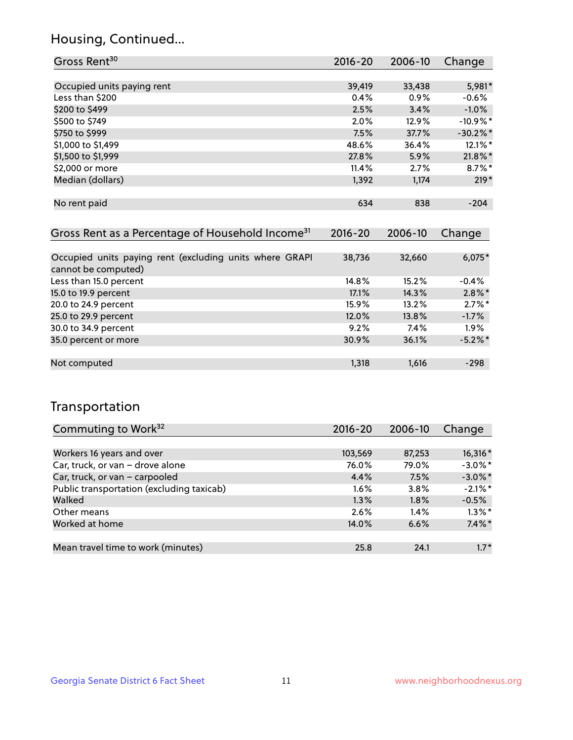## Housing, Continued...

| Gross Rent <sup>30</sup>   | 2016-20 | 2006-10 | Change               |
|----------------------------|---------|---------|----------------------|
|                            |         |         |                      |
| Occupied units paying rent | 39,419  | 33,438  | 5,981*               |
| Less than \$200            | 0.4%    | 0.9%    | $-0.6%$              |
| \$200 to \$499             | 2.5%    | 3.4%    | $-1.0\%$             |
| \$500 to \$749             | 2.0%    | 12.9%   | $-10.9%$ *           |
| \$750 to \$999             | 7.5%    | 37.7%   | $-30.2%$ *           |
| \$1,000 to \$1,499         | 48.6%   | 36.4%   | 12.1%*               |
| \$1,500 to \$1,999         | 27.8%   | 5.9%    | $21.8\%$ *           |
| \$2,000 or more            | 11.4%   | 2.7%    | $8.7\%$ <sup>*</sup> |
| Median (dollars)           | 1,392   | 1,174   | $219*$               |
|                            |         |         |                      |
| No rent paid               | 634     | 838     | $-204$               |
|                            |         |         |                      |

| Gross Rent as a Percentage of Household Income <sup>31</sup>                   | $2016 - 20$ | 2006-10 | Change     |
|--------------------------------------------------------------------------------|-------------|---------|------------|
|                                                                                |             |         |            |
| Occupied units paying rent (excluding units where GRAPI<br>cannot be computed) | 38,736      | 32,660  | $6,075*$   |
| Less than 15.0 percent                                                         | 14.8%       | 15.2%   | $-0.4%$    |
| 15.0 to 19.9 percent                                                           | 17.1%       | 14.3%   | $2.8\%$ *  |
| 20.0 to 24.9 percent                                                           | 15.9%       | 13.2%   | $2.7\%$ *  |
| 25.0 to 29.9 percent                                                           | 12.0%       | 13.8%   | $-1.7%$    |
| 30.0 to 34.9 percent                                                           | 9.2%        | 7.4%    | $1.9\%$    |
| 35.0 percent or more                                                           | 30.9%       | 36.1%   | $-5.2\%$ * |
|                                                                                |             |         |            |
| Not computed                                                                   | 1,318       | 1,616   | $-298$     |

## Transportation

| Commuting to Work <sup>32</sup>           | 2016-20 | 2006-10 | Change     |
|-------------------------------------------|---------|---------|------------|
|                                           |         |         |            |
| Workers 16 years and over                 | 103,569 | 87,253  | 16,316 *   |
| Car, truck, or van - drove alone          | 76.0%   | 79.0%   | $-3.0\%$ * |
| Car, truck, or van - carpooled            | 4.4%    | 7.5%    | $-3.0\%$ * |
| Public transportation (excluding taxicab) | $1.6\%$ | $3.8\%$ | $-2.1\%$ * |
| Walked                                    | 1.3%    | 1.8%    | $-0.5%$    |
| Other means                               | 2.6%    | $1.4\%$ | $1.3\%$ *  |
| Worked at home                            | 14.0%   | 6.6%    | $7.4\%$ *  |
|                                           |         |         |            |
| Mean travel time to work (minutes)        | 25.8    | 24.1    | $1.7*$     |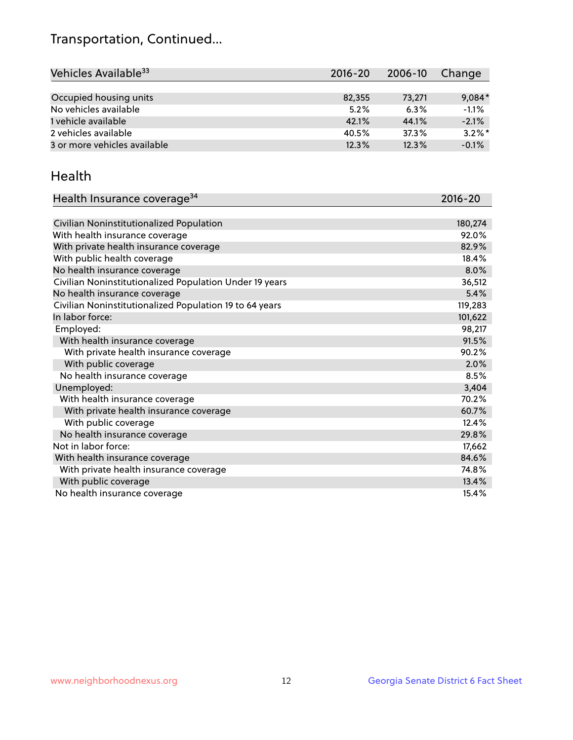## Transportation, Continued...

| Vehicles Available <sup>33</sup> | $2016 - 20$ | 2006-10 | Change    |
|----------------------------------|-------------|---------|-----------|
|                                  |             |         |           |
| Occupied housing units           | 82,355      | 73,271  | $9,084*$  |
| No vehicles available            | 5.2%        | 6.3%    | $-1.1%$   |
| 1 vehicle available              | 42.1%       | 44.1%   | $-2.1%$   |
| 2 vehicles available             | 40.5%       | 37.3%   | $3.2\%$ * |
| 3 or more vehicles available     | 12.3%       | 12.3%   | $-0.1%$   |

#### Health

| Health Insurance coverage <sup>34</sup>                 | 2016-20 |
|---------------------------------------------------------|---------|
|                                                         |         |
| Civilian Noninstitutionalized Population                | 180,274 |
| With health insurance coverage                          | 92.0%   |
| With private health insurance coverage                  | 82.9%   |
| With public health coverage                             | 18.4%   |
| No health insurance coverage                            | 8.0%    |
| Civilian Noninstitutionalized Population Under 19 years | 36,512  |
| No health insurance coverage                            | 5.4%    |
| Civilian Noninstitutionalized Population 19 to 64 years | 119,283 |
| In labor force:                                         | 101,622 |
| Employed:                                               | 98,217  |
| With health insurance coverage                          | 91.5%   |
| With private health insurance coverage                  | 90.2%   |
| With public coverage                                    | 2.0%    |
| No health insurance coverage                            | 8.5%    |
| Unemployed:                                             | 3,404   |
| With health insurance coverage                          | 70.2%   |
| With private health insurance coverage                  | 60.7%   |
| With public coverage                                    | 12.4%   |
| No health insurance coverage                            | 29.8%   |
| Not in labor force:                                     | 17,662  |
| With health insurance coverage                          | 84.6%   |
| With private health insurance coverage                  | 74.8%   |
| With public coverage                                    | 13.4%   |
| No health insurance coverage                            | 15.4%   |